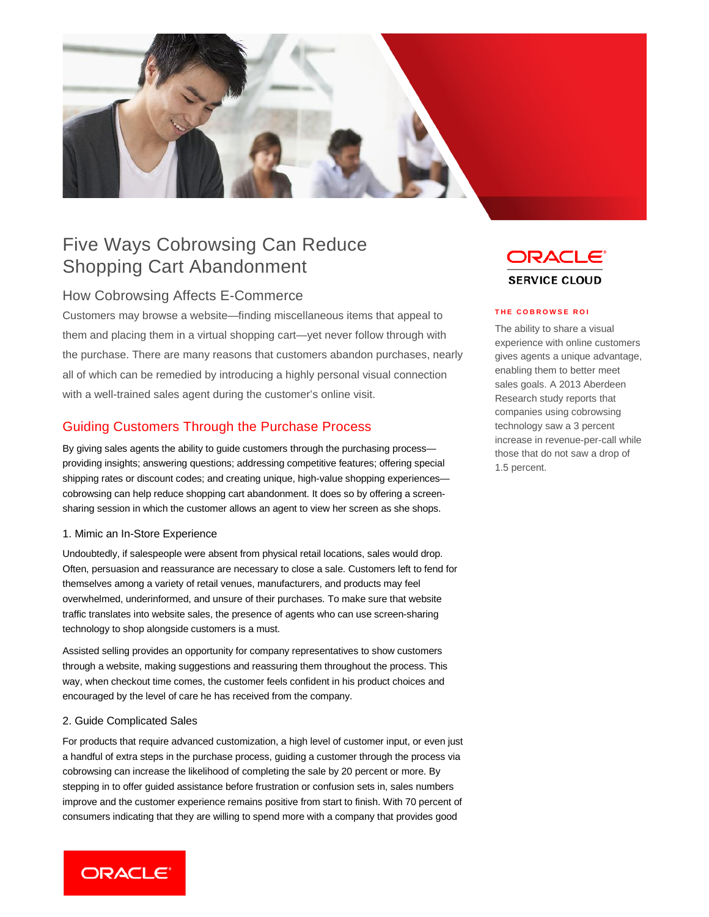

# Five Ways Cobrowsing Can Reduce Shopping Cart Abandonment

## How Cobrowsing Affects E-Commerce

Customers may browse a website—finding miscellaneous items that appeal to them and placing them in a virtual shopping cart—yet never follow through with the purchase. There are many reasons that customers abandon purchases, nearly all of which can be remedied by introducing a highly personal visual connection with a well-trained sales agent during the customer's online visit.

# Guiding Customers Through the Purchase Process

By giving sales agents the ability to guide customers through the purchasing process providing insights; answering questions; addressing competitive features; offering special shipping rates or discount codes; and creating unique, high-value shopping experiences cobrowsing can help reduce shopping cart abandonment. It does so by offering a screensharing session in which the customer allows an agent to view her screen as she shops.

### 1. Mimic an In-Store Experience

Undoubtedly, if salespeople were absent from physical retail locations, sales would drop. Often, persuasion and reassurance are necessary to close a sale. Customers left to fend for themselves among a variety of retail venues, manufacturers, and products may feel overwhelmed, underinformed, and unsure of their purchases. To make sure that website traffic translates into website sales, the presence of agents who can use screen-sharing technology to shop alongside customers is a must.

Assisted selling provides an opportunity for company representatives to show customers through a website, making suggestions and reassuring them throughout the process. This way, when checkout time comes, the customer feels confident in his product choices and encouraged by the level of care he has received from the company.

#### 2. Guide Complicated Sales

For products that require advanced customization, a high level of customer input, or even just a handful of extra steps in the purchase process, guiding a customer through the process via cobrowsing can increase the likelihood of completing the sale by 20 percent or more. By stepping in to offer guided assistance before frustration or confusion sets in, sales numbers improve and the customer experience remains positive from start to finish. With 70 percent of consumers indicating that they are willing to spend more with a company that provides good



#### **THE COBROWSE ROI**

The ability to share a visual experience with online customers gives agents a unique advantage, enabling them to better meet sales goals. A 2013 Aberdeen Research study reports that companies using cobrowsing technology saw a 3 percent increase in revenue-per-call while those that do not saw a drop of 1.5 percent.